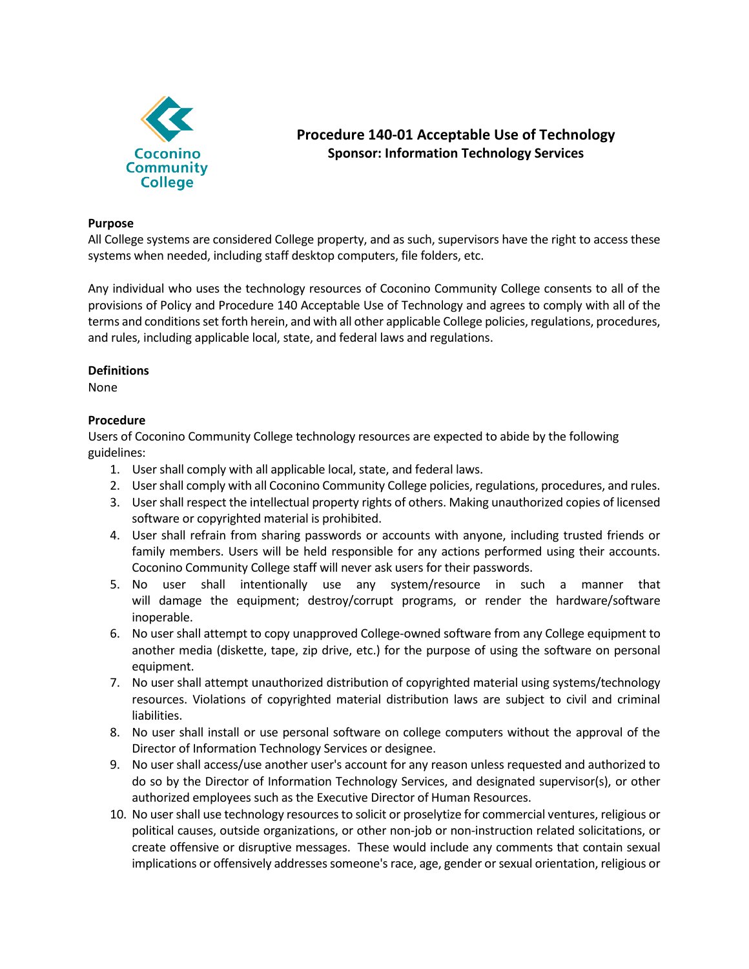

# **Procedure 140-01 Acceptable Use of Technology Sponsor: Information Technology Services**

## **Purpose**

All College systems are considered College property, and as such, supervisors have the right to access these systems when needed, including staff desktop computers, file folders, etc.

Any individual who uses the technology resources of Coconino Community College consents to all of the provisions of Policy and Procedure 140 Acceptable Use of Technology and agrees to comply with all of the terms and conditions set forth herein, and with all other applicable College policies, regulations, procedures, and rules, including applicable local, state, and federal laws and regulations.

## **Definitions**

None

## **Procedure**

Users of Coconino Community College technology resources are expected to abide by the following guidelines:

- 1. User shall comply with all applicable local, state, and federal laws.
- 2. User shall comply with all Coconino Community College policies, regulations, procedures, and rules.
- 3. User shall respect the intellectual property rights of others. Making unauthorized copies of licensed software or copyrighted material is prohibited.
- 4. User shall refrain from sharing passwords or accounts with anyone, including trusted friends or family members. Users will be held responsible for any actions performed using their accounts. Coconino Community College staff will never ask users for their passwords.
- 5. No user shall intentionally use any system/resource in such a manner that will damage the equipment; destroy/corrupt programs, or render the hardware/software inoperable.
- 6. No user shall attempt to copy unapproved College-owned software from any College equipment to another media (diskette, tape, zip drive, etc.) for the purpose of using the software on personal equipment.
- 7. No user shall attempt unauthorized distribution of copyrighted material using systems/technology resources. Violations of copyrighted material distribution laws are subject to civil and criminal liabilities.
- 8. No user shall install or use personal software on college computers without the approval of the Director of Information Technology Services or designee.
- 9. No user shall access/use another user's account for any reason unless requested and authorized to do so by the Director of Information Technology Services, and designated supervisor(s), or other authorized employees such as the Executive Director of Human Resources.
- 10. No user shall use technology resources to solicit or proselytize for commercial ventures, religious or political causes, outside organizations, or other non-job or non-instruction related solicitations, or create offensive or disruptive messages. These would include any comments that contain sexual implications or offensively addresses someone's race, age, gender or sexual orientation, religious or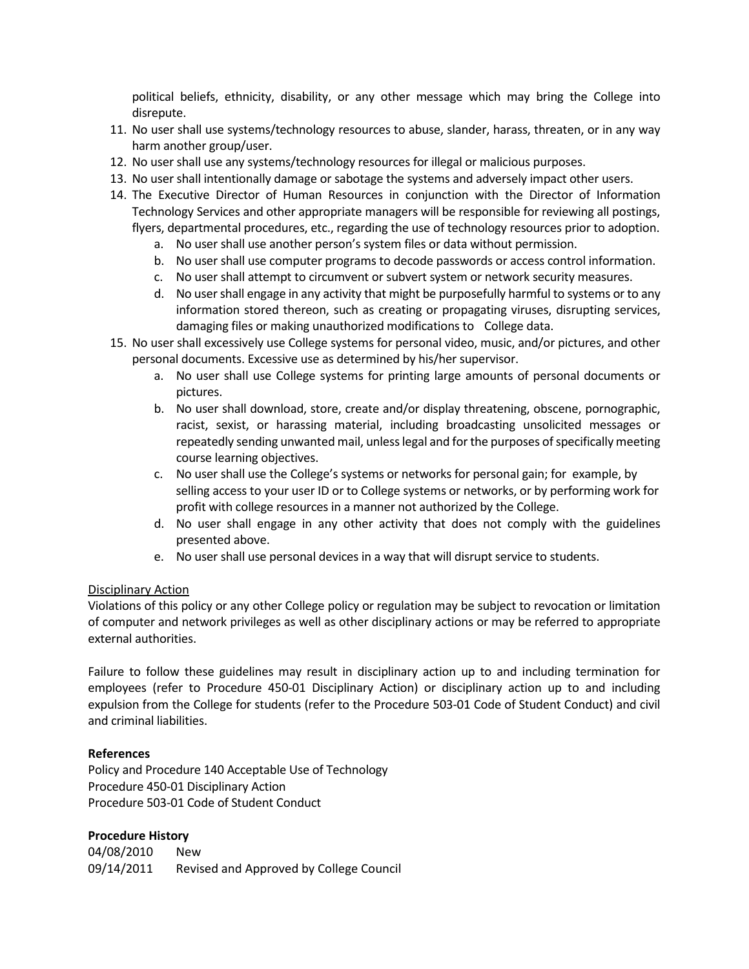political beliefs, ethnicity, disability, or any other message which may bring the College into disrepute.

- 11. No user shall use systems/technology resources to abuse, slander, harass, threaten, or in any way harm another group/user.
- 12. No user shall use any systems/technology resources for illegal or malicious purposes.
- 13. No user shall intentionally damage or sabotage the systems and adversely impact other users.
- 14. The Executive Director of Human Resources in conjunction with the Director of Information Technology Services and other appropriate managers will be responsible for reviewing all postings, flyers, departmental procedures, etc., regarding the use of technology resources prior to adoption.
	- a. No user shall use another person's system files or data without permission.
	- b. No user shall use computer programs to decode passwords or access control information.
	- c. No user shall attempt to circumvent or subvert system or network security measures.
	- d. No user shall engage in any activity that might be purposefully harmful to systems or to any information stored thereon, such as creating or propagating viruses, disrupting services, damaging files or making unauthorized modifications to College data.
- 15. No user shall excessively use College systems for personal video, music, and/or pictures, and other personal documents. Excessive use as determined by his/her supervisor.
	- a. No user shall use College systems for printing large amounts of personal documents or pictures.
	- b. No user shall download, store, create and/or display threatening, obscene, pornographic, racist, sexist, or harassing material, including broadcasting unsolicited messages or repeatedly sending unwanted mail, unless legal and for the purposes of specifically meeting course learning objectives.
	- c. No user shall use the College's systems or networks for personal gain; for example, by selling access to your user ID or to College systems or networks, or by performing work for profit with college resources in a manner not authorized by the College.
	- d. No user shall engage in any other activity that does not comply with the guidelines presented above.
	- e. No user shall use personal devices in a way that will disrupt service to students.

### Disciplinary Action

Violations of this policy or any other College policy or regulation may be subject to revocation or limitation of computer and network privileges as well as other disciplinary actions or may be referred to appropriate external authorities.

Failure to follow these guidelines may result in disciplinary action up to and including termination for employees (refer to Procedure 450-01 Disciplinary Action) or disciplinary action up to and including expulsion from the College for students (refer to the Procedure 503-01 Code of Student Conduct) and civil and criminal liabilities.

### **References**

Policy and Procedure 140 Acceptable Use of Technology Procedure 450-01 Disciplinary Action Procedure 503-01 Code of Student Conduct

### **Procedure History**

04/08/2010 New 09/14/2011 Revised and Approved by College Council